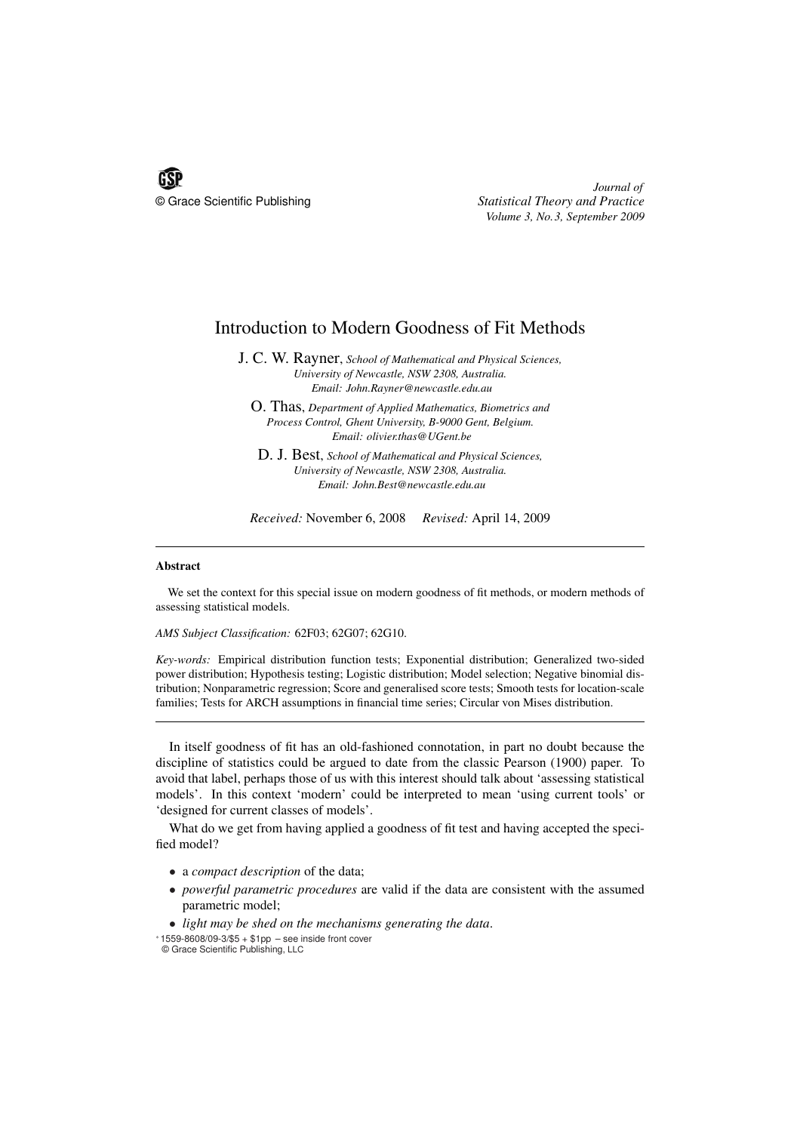

*Journal of* © Grace Scientific Publishing *Statistical Theory and Practice Volume 3, No.3, September 2009*

## Introduction to Modern Goodness of Fit Methods

J. C. W. Rayner, *School of Mathematical and Physical Sciences, University of Newcastle, NSW 2308, Australia. Email: John.Rayner@newcastle.edu.au*

O. Thas, *Department of Applied Mathematics, Biometrics and Process Control, Ghent University, B-9000 Gent, Belgium. Email: olivier.thas@UGent.be*

D. J. Best, *School of Mathematical and Physical Sciences, University of Newcastle, NSW 2308, Australia. Email: John.Best@newcastle.edu.au*

*Received:* November 6, 2008 *Revised:* April 14, 2009

## Abstract

We set the context for this special issue on modern goodness of fit methods, or modern methods of assessing statistical models.

*AMS Subject Classification:* 62F03; 62G07; 62G10.

*Key-words:* Empirical distribution function tests; Exponential distribution; Generalized two-sided power distribution; Hypothesis testing; Logistic distribution; Model selection; Negative binomial distribution; Nonparametric regression; Score and generalised score tests; Smooth tests for location-scale families; Tests for ARCH assumptions in financial time series; Circular von Mises distribution.

In itself goodness of fit has an old-fashioned connotation, in part no doubt because the discipline of statistics could be argued to date from the classic Pearson (1900) paper. To avoid that label, perhaps those of us with this interest should talk about 'assessing statistical models'. In this context 'modern' could be interpreted to mean 'using current tools' or 'designed for current classes of models'.

What do we get from having applied a goodness of fit test and having accepted the specified model?

- a *compact description* of the data;
- *powerful parametric procedures* are valid if the data are consistent with the assumed parametric model;

• *light may be shed on the mechanisms generating the data*.

<sup>∗</sup> 1559-8608/09-3/\$5 + \$1pp – see inside front cover

<sup>©</sup> Grace Scientific Publishing, LLC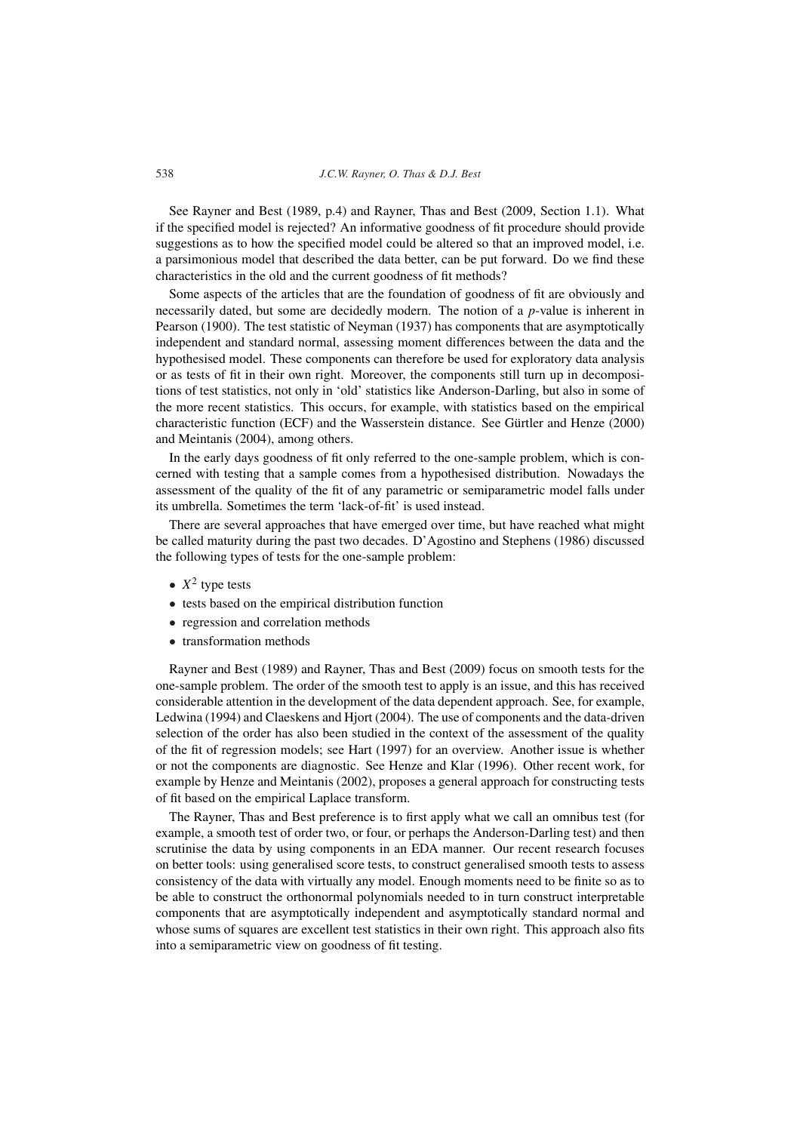538 *J.C.W. Rayner, O. Thas & D.J. Best*

See Rayner and Best (1989, p.4) and Rayner, Thas and Best (2009, Section 1.1). What if the specified model is rejected? An informative goodness of fit procedure should provide suggestions as to how the specified model could be altered so that an improved model, i.e. a parsimonious model that described the data better, can be put forward. Do we find these characteristics in the old and the current goodness of fit methods?

Some aspects of the articles that are the foundation of goodness of fit are obviously and necessarily dated, but some are decidedly modern. The notion of a *p*-value is inherent in Pearson (1900). The test statistic of Neyman (1937) has components that are asymptotically independent and standard normal, assessing moment differences between the data and the hypothesised model. These components can therefore be used for exploratory data analysis or as tests of fit in their own right. Moreover, the components still turn up in decompositions of test statistics, not only in 'old' statistics like Anderson-Darling, but also in some of the more recent statistics. This occurs, for example, with statistics based on the empirical characteristic function (ECF) and the Wasserstein distance. See Gürtler and Henze (2000) and Meintanis (2004), among others.

In the early days goodness of fit only referred to the one-sample problem, which is concerned with testing that a sample comes from a hypothesised distribution. Nowadays the assessment of the quality of the fit of any parametric or semiparametric model falls under its umbrella. Sometimes the term 'lack-of-fit' is used instead.

There are several approaches that have emerged over time, but have reached what might be called maturity during the past two decades. D'Agostino and Stephens (1986) discussed the following types of tests for the one-sample problem:

- $X^2$  type tests
- tests based on the empirical distribution function
- regression and correlation methods
- transformation methods

Rayner and Best (1989) and Rayner, Thas and Best (2009) focus on smooth tests for the one-sample problem. The order of the smooth test to apply is an issue, and this has received considerable attention in the development of the data dependent approach. See, for example, Ledwina (1994) and Claeskens and Hjort (2004). The use of components and the data-driven selection of the order has also been studied in the context of the assessment of the quality of the fit of regression models; see Hart (1997) for an overview. Another issue is whether or not the components are diagnostic. See Henze and Klar (1996). Other recent work, for example by Henze and Meintanis (2002), proposes a general approach for constructing tests of fit based on the empirical Laplace transform.

The Rayner, Thas and Best preference is to first apply what we call an omnibus test (for example, a smooth test of order two, or four, or perhaps the Anderson-Darling test) and then scrutinise the data by using components in an EDA manner. Our recent research focuses on better tools: using generalised score tests, to construct generalised smooth tests to assess consistency of the data with virtually any model. Enough moments need to be finite so as to be able to construct the orthonormal polynomials needed to in turn construct interpretable components that are asymptotically independent and asymptotically standard normal and whose sums of squares are excellent test statistics in their own right. This approach also fits into a semiparametric view on goodness of fit testing.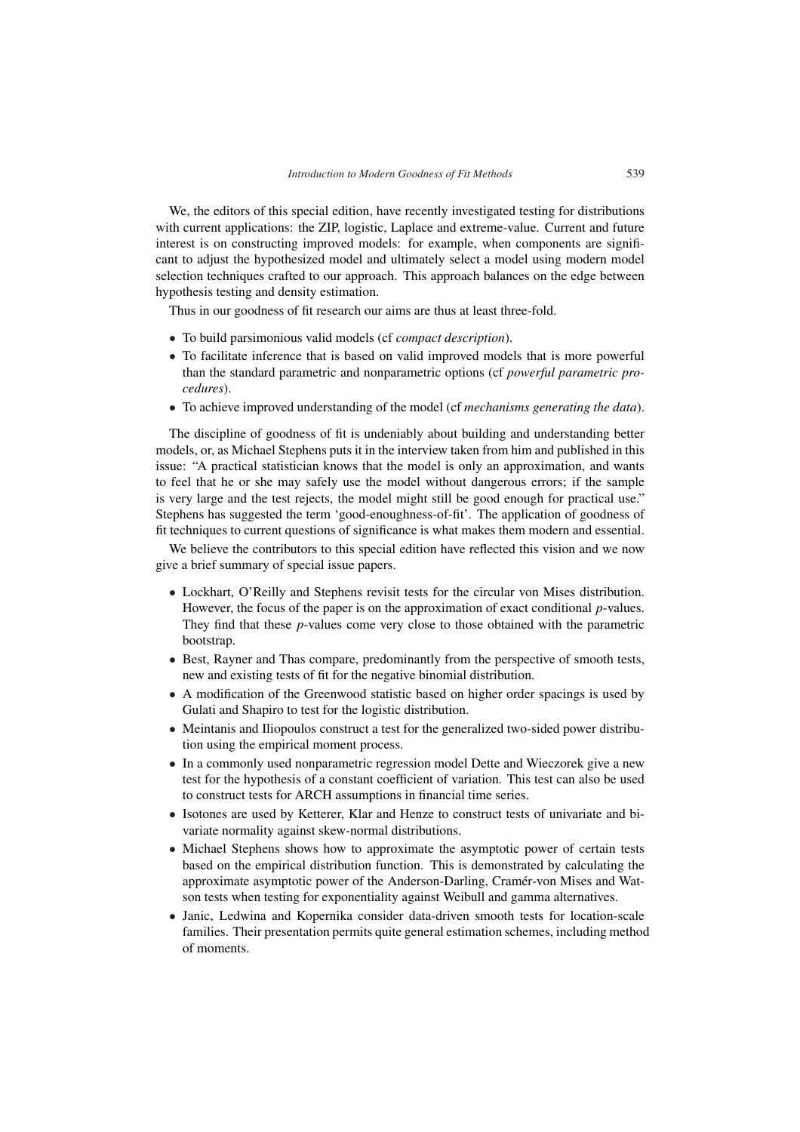We, the editors of this special edition, have recently investigated testing for distributions with current applications: the ZIP, logistic, Laplace and extreme-value. Current and future interest is on constructing improved models: for example, when components are significant to adjust the hypothesized model and ultimately select a model using modern model selection techniques crafted to our approach. This approach balances on the edge between hypothesis testing and density estimation.

Thus in our goodness of fit research our aims are thus at least three-fold.

- To build parsimonious valid models (cf *compact description*).
- To facilitate inference that is based on valid improved models that is more powerful than the standard parametric and nonparametric options (cf *powerful parametric procedures*).
- To achieve improved understanding of the model (cf *mechanisms generating the data*).

The discipline of goodness of fit is undeniably about building and understanding better models, or, as Michael Stephens puts it in the interview taken from him and published in this issue: "A practical statistician knows that the model is only an approximation, and wants to feel that he or she may safely use the model without dangerous errors; if the sample is very large and the test rejects, the model might still be good enough for practical use." Stephens has suggested the term 'good-enoughness-of-fit'. The application of goodness of fit techniques to current questions of significance is what makes them modern and essential.

We believe the contributors to this special edition have reflected this vision and we now give a brief summary of special issue papers.

- Lockhart, O'Reilly and Stephens revisit tests for the circular von Mises distribution. However, the focus of the paper is on the approximation of exact conditional *p*-values. They find that these *p*-values come very close to those obtained with the parametric bootstrap.
- Best, Rayner and Thas compare, predominantly from the perspective of smooth tests, new and existing tests of fit for the negative binomial distribution.
- A modification of the Greenwood statistic based on higher order spacings is used by Gulati and Shapiro to test for the logistic distribution.
- Meintanis and Iliopoulos construct a test for the generalized two-sided power distribution using the empirical moment process.
- In a commonly used nonparametric regression model Dette and Wieczorek give a new test for the hypothesis of a constant coefficient of variation. This test can also be used to construct tests for ARCH assumptions in financial time series.
- Isotones are used by Ketterer, Klar and Henze to construct tests of univariate and bivariate normality against skew-normal distributions.
- Michael Stephens shows how to approximate the asymptotic power of certain tests based on the empirical distribution function. This is demonstrated by calculating the approximate asymptotic power of the Anderson-Darling, Cramer-von Mises and Wat- ´ son tests when testing for exponentiality against Weibull and gamma alternatives.
- Janic, Ledwina and Kopernika consider data-driven smooth tests for location-scale families. Their presentation permits quite general estimation schemes, including method of moments.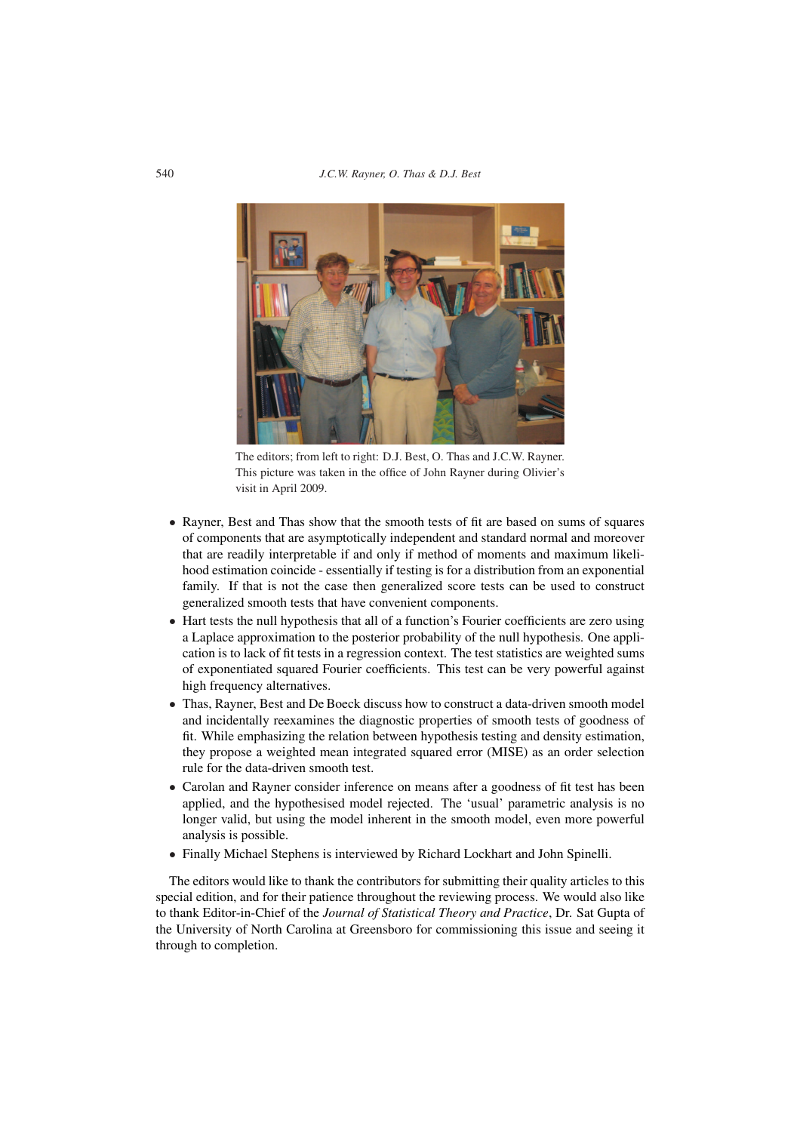540 *J.C.W. Rayner, O. Thas & D.J. Best*



The editors; from left to right: D.J. Best, O. Thas and J.C.W. Rayner. This picture was taken in the office of John Rayner during Olivier's visit in April 2009.

- Rayner, Best and Thas show that the smooth tests of fit are based on sums of squares of components that are asymptotically independent and standard normal and moreover that are readily interpretable if and only if method of moments and maximum likelihood estimation coincide - essentially if testing is for a distribution from an exponential family. If that is not the case then generalized score tests can be used to construct generalized smooth tests that have convenient components.
- Hart tests the null hypothesis that all of a function's Fourier coefficients are zero using a Laplace approximation to the posterior probability of the null hypothesis. One application is to lack of fit tests in a regression context. The test statistics are weighted sums of exponentiated squared Fourier coefficients. This test can be very powerful against high frequency alternatives.
- Thas, Rayner, Best and De Boeck discuss how to construct a data-driven smooth model and incidentally reexamines the diagnostic properties of smooth tests of goodness of fit. While emphasizing the relation between hypothesis testing and density estimation, they propose a weighted mean integrated squared error (MISE) as an order selection rule for the data-driven smooth test.
- Carolan and Rayner consider inference on means after a goodness of fit test has been applied, and the hypothesised model rejected. The 'usual' parametric analysis is no longer valid, but using the model inherent in the smooth model, even more powerful analysis is possible.
- Finally Michael Stephens is interviewed by Richard Lockhart and John Spinelli.

The editors would like to thank the contributors for submitting their quality articles to this special edition, and for their patience throughout the reviewing process. We would also like to thank Editor-in-Chief of the *Journal of Statistical Theory and Practice*, Dr. Sat Gupta of the University of North Carolina at Greensboro for commissioning this issue and seeing it through to completion.